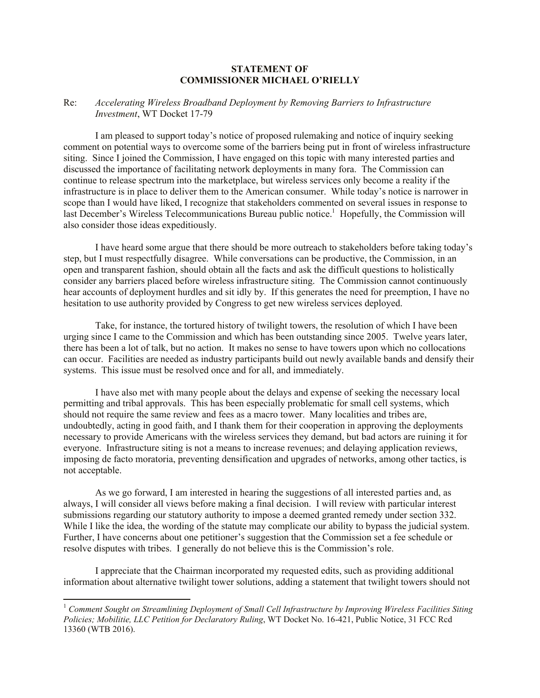## **STATEMENT OF COMMISSIONER MICHAEL O'RIELLY**

## Re: *Accelerating Wireless Broadband Deployment by Removing Barriers to Infrastructure Investment*, WT Docket 17-79

I am pleased to support today's notice of proposed rulemaking and notice of inquiry seeking comment on potential ways to overcome some of the barriers being put in front of wireless infrastructure siting. Since I joined the Commission, I have engaged on this topic with many interested parties and discussed the importance of facilitating network deployments in many fora. The Commission can continue to release spectrum into the marketplace, but wireless services only become a reality if the infrastructure is in place to deliver them to the American consumer. While today's notice is narrower in scope than I would have liked, I recognize that stakeholders commented on several issues in response to last December's Wireless Telecommunications Bureau public notice.<sup>1</sup> Hopefully, the Commission will also consider those ideas expeditiously.

I have heard some argue that there should be more outreach to stakeholders before taking today's step, but I must respectfully disagree. While conversations can be productive, the Commission, in an open and transparent fashion, should obtain all the facts and ask the difficult questions to holistically consider any barriers placed before wireless infrastructure siting. The Commission cannot continuously hear accounts of deployment hurdles and sit idly by. If this generates the need for preemption, I have no hesitation to use authority provided by Congress to get new wireless services deployed.

Take, for instance, the tortured history of twilight towers, the resolution of which I have been urging since I came to the Commission and which has been outstanding since 2005. Twelve years later, there has been a lot of talk, but no action. It makes no sense to have towers upon which no collocations can occur. Facilities are needed as industry participants build out newly available bands and densify their systems. This issue must be resolved once and for all, and immediately.

I have also met with many people about the delays and expense of seeking the necessary local permitting and tribal approvals. This has been especially problematic for small cell systems, which should not require the same review and fees as a macro tower. Many localities and tribes are, undoubtedly, acting in good faith, and I thank them for their cooperation in approving the deployments necessary to provide Americans with the wireless services they demand, but bad actors are ruining it for everyone. Infrastructure siting is not a means to increase revenues; and delaying application reviews, imposing de facto moratoria, preventing densification and upgrades of networks, among other tactics, is not acceptable.

As we go forward, I am interested in hearing the suggestions of all interested parties and, as always, I will consider all views before making a final decision. I will review with particular interest submissions regarding our statutory authority to impose a deemed granted remedy under section 332. While I like the idea, the wording of the statute may complicate our ability to bypass the judicial system. Further, I have concerns about one petitioner's suggestion that the Commission set a fee schedule or resolve disputes with tribes. I generally do not believe this is the Commission's role.

I appreciate that the Chairman incorporated my requested edits, such as providing additional information about alternative twilight tower solutions, adding a statement that twilight towers should not

l

<sup>1</sup> *Comment Sought on Streamlining Deployment of Small Cell Infrastructure by Improving Wireless Facilities Siting Policies; Mobilitie, LLC Petition for Declaratory Ruling*, WT Docket No. 16-421, Public Notice, 31 FCC Rcd 13360 (WTB 2016).